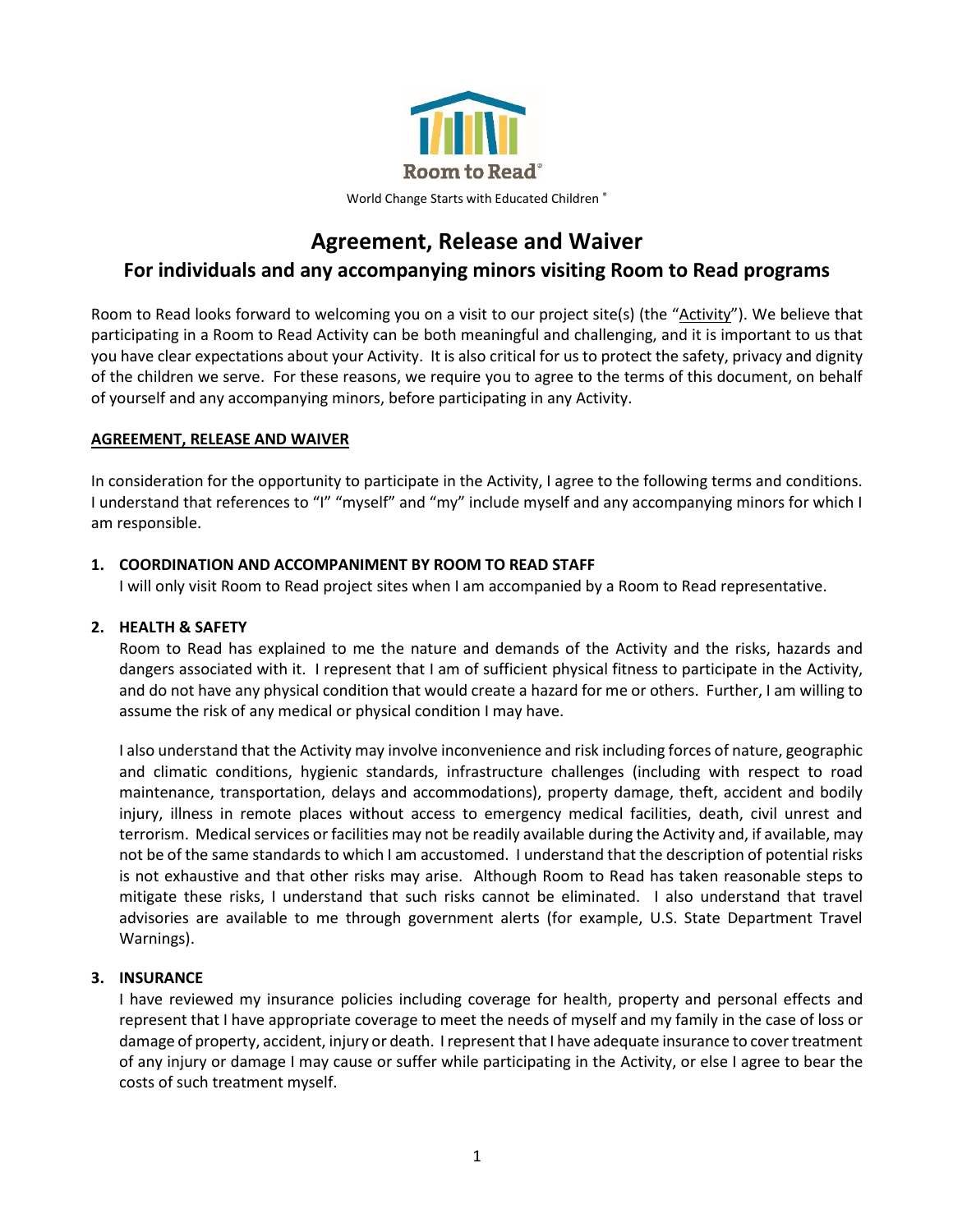

# **Agreement, Release and Waiver**

# **For individuals and any accompanying minors visiting Room to Read programs**

Room to Read looks forward to welcoming you on a visit to our project site(s) (the "Activity"). We believe that participating in a Room to Read Activity can be both meaningful and challenging, and it is important to us that you have clear expectations about your Activity. It is also critical for us to protect the safety, privacy and dignity of the children we serve. For these reasons, we require you to agree to the terms of this document, on behalf of yourself and any accompanying minors, before participating in any Activity.

## **AGREEMENT, RELEASE AND WAIVER**

In consideration for the opportunity to participate in the Activity, I agree to the following terms and conditions. I understand that references to "I" "myself" and "my" include myself and any accompanying minors for which I am responsible.

## **1. COORDINATION AND ACCOMPANIMENT BY ROOM TO READ STAFF**

I will only visit Room to Read project sites when I am accompanied by a Room to Read representative.

#### **2. HEALTH & SAFETY**

Room to Read has explained to me the nature and demands of the Activity and the risks, hazards and dangers associated with it. I represent that I am of sufficient physical fitness to participate in the Activity, and do not have any physical condition that would create a hazard for me or others. Further, I am willing to assume the risk of any medical or physical condition I may have.

I also understand that the Activity may involve inconvenience and risk including forces of nature, geographic and climatic conditions, hygienic standards, infrastructure challenges (including with respect to road maintenance, transportation, delays and accommodations), property damage, theft, accident and bodily injury, illness in remote places without access to emergency medical facilities, death, civil unrest and terrorism. Medical services or facilities may not be readily available during the Activity and, if available, may not be of the same standards to which I am accustomed. I understand that the description of potential risks is not exhaustive and that other risks may arise. Although Room to Read has taken reasonable steps to mitigate these risks, I understand that such risks cannot be eliminated. I also understand that travel advisories are available to me through government alerts (for example, U.S. State Department Travel Warnings).

#### **3. INSURANCE**

I have reviewed my insurance policies including coverage for health, property and personal effects and represent that I have appropriate coverage to meet the needs of myself and my family in the case of loss or damage of property, accident, injury or death. I represent that I have adequate insurance to cover treatment of any injury or damage I may cause or suffer while participating in the Activity, or else I agree to bear the costs of such treatment myself.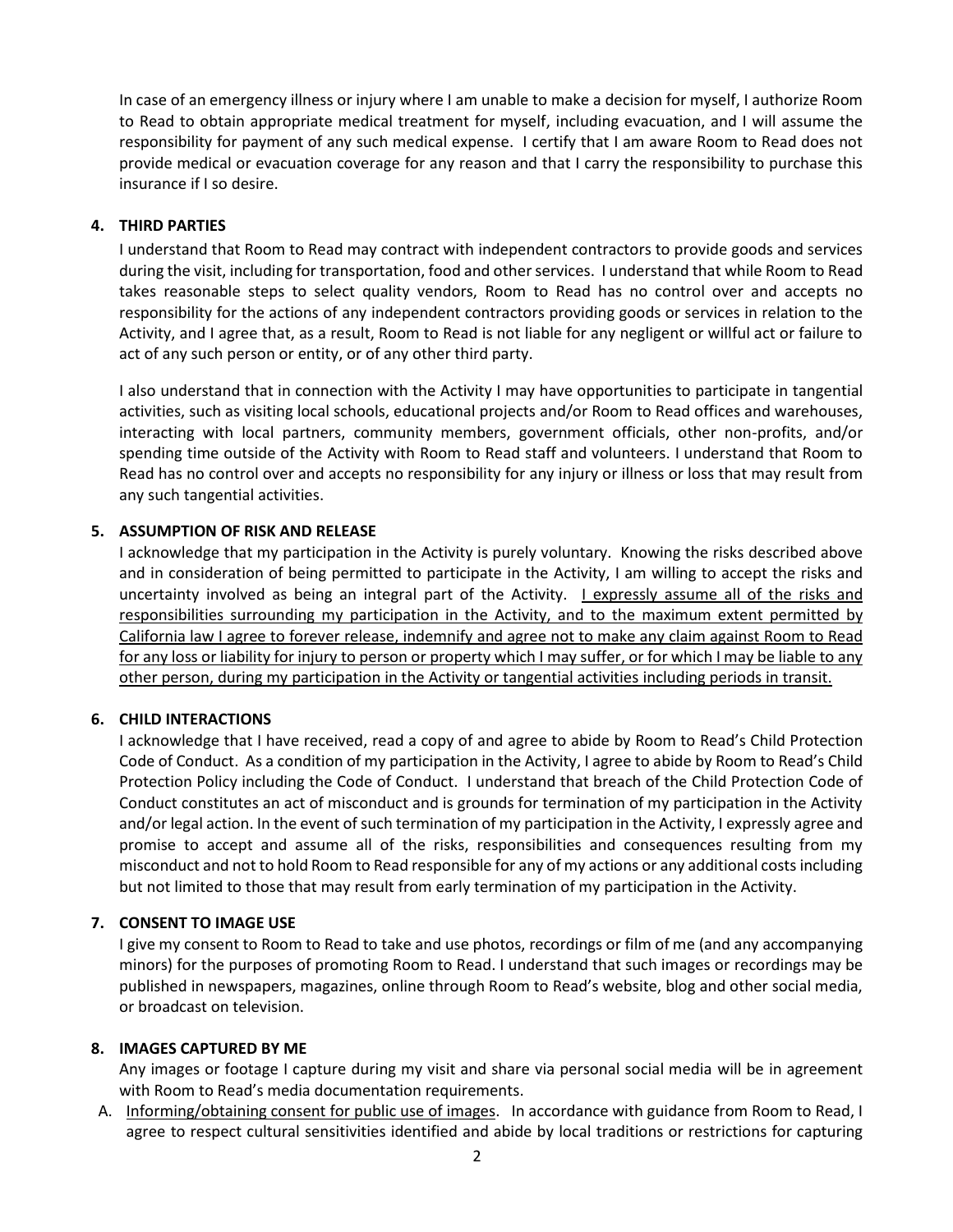In case of an emergency illness or injury where I am unable to make a decision for myself, I authorize Room to Read to obtain appropriate medical treatment for myself, including evacuation, and I will assume the responsibility for payment of any such medical expense. I certify that I am aware Room to Read does not provide medical or evacuation coverage for any reason and that I carry the responsibility to purchase this insurance if I so desire.

#### **4. THIRD PARTIES**

I understand that Room to Read may contract with independent contractors to provide goods and services during the visit, including for transportation, food and other services. I understand that while Room to Read takes reasonable steps to select quality vendors, Room to Read has no control over and accepts no responsibility for the actions of any independent contractors providing goods or services in relation to the Activity, and I agree that, as a result, Room to Read is not liable for any negligent or willful act or failure to act of any such person or entity, or of any other third party.

I also understand that in connection with the Activity I may have opportunities to participate in tangential activities, such as visiting local schools, educational projects and/or Room to Read offices and warehouses, interacting with local partners, community members, government officials, other non-profits, and/or spending time outside of the Activity with Room to Read staff and volunteers. I understand that Room to Read has no control over and accepts no responsibility for any injury or illness or loss that may result from any such tangential activities.

## **5. ASSUMPTION OF RISK AND RELEASE**

I acknowledge that my participation in the Activity is purely voluntary. Knowing the risks described above and in consideration of being permitted to participate in the Activity, I am willing to accept the risks and uncertainty involved as being an integral part of the Activity. I expressly assume all of the risks and responsibilities surrounding my participation in the Activity, and to the maximum extent permitted by California law I agree to forever release, indemnify and agree not to make any claim against Room to Read for any loss or liability for injury to person or property which I may suffer, or for which I may be liable to any other person, during my participation in the Activity or tangential activities including periods in transit.

# **6. CHILD INTERACTIONS**

I acknowledge that I have received, read a copy of and agree to abide by Room to Read's Child Protection Code of Conduct. As a condition of my participation in the Activity, I agree to abide by Room to Read's Child Protection Policy including the Code of Conduct. I understand that breach of the Child Protection Code of Conduct constitutes an act of misconduct and is grounds for termination of my participation in the Activity and/or legal action. In the event of such termination of my participation in the Activity, I expressly agree and promise to accept and assume all of the risks, responsibilities and consequences resulting from my misconduct and not to hold Room to Read responsible for any of my actions or any additional costs including but not limited to those that may result from early termination of my participation in the Activity.

# **7. CONSENT TO IMAGE USE**

I give my consent to Room to Read to take and use photos, recordings or film of me (and any accompanying minors) for the purposes of promoting Room to Read. I understand that such images or recordings may be published in newspapers, magazines, online through Room to Read's website, blog and other social media, or broadcast on television.

#### **8. IMAGES CAPTURED BY ME**

Any images or footage I capture during my visit and share via personal social media will be in agreement with Room to Read's media documentation requirements.

A. Informing/obtaining consent for public use of images. In accordance with guidance from Room to Read, I agree to respect cultural sensitivities identified and abide by local traditions or restrictions for capturing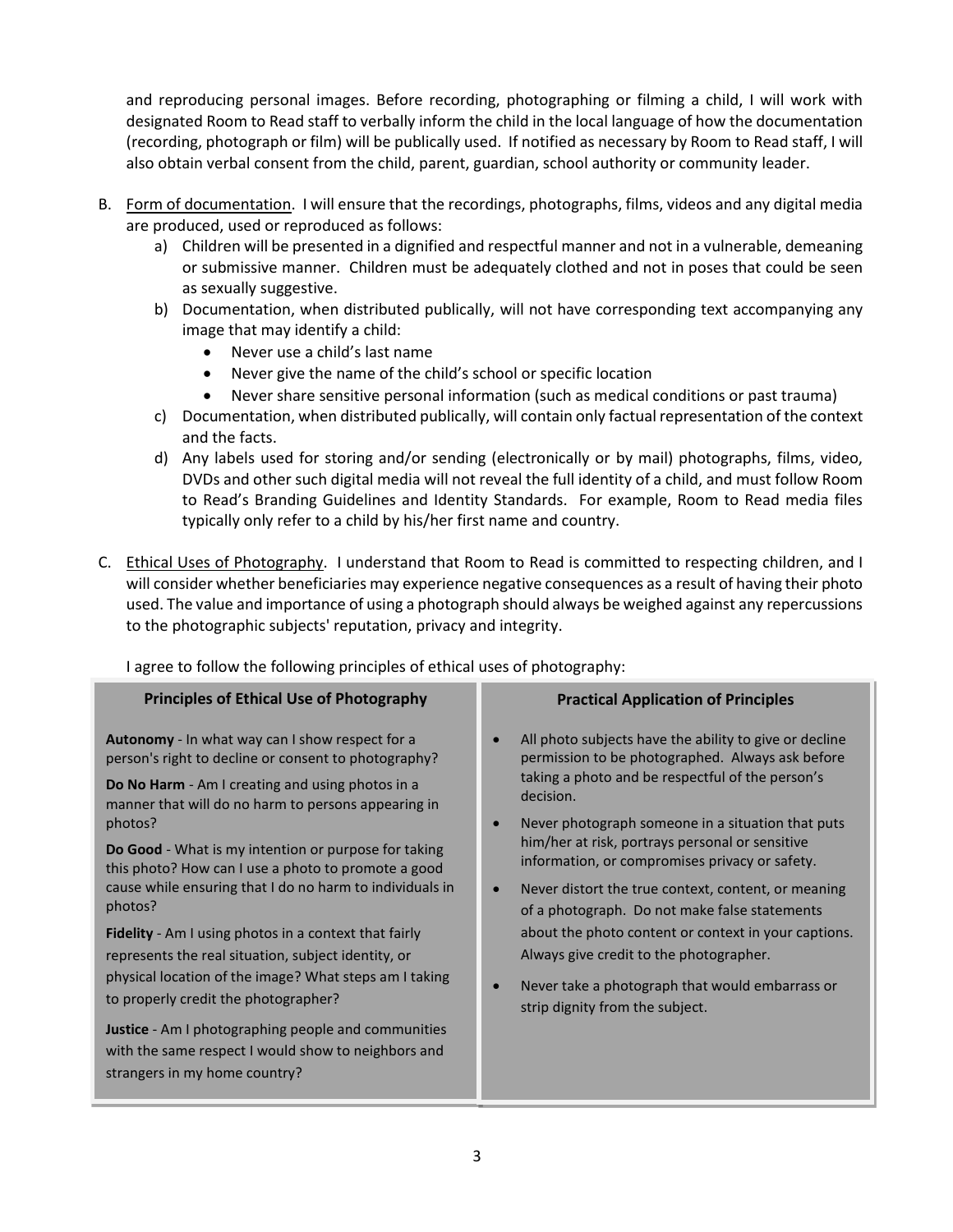and reproducing personal images. Before recording, photographing or filming a child, I will work with designated Room to Read staff to verbally inform the child in the local language of how the documentation (recording, photograph or film) will be publically used. If notified as necessary by Room to Read staff, I will also obtain verbal consent from the child, parent, guardian, school authority or community leader.

- B. Form of documentation. I will ensure that the recordings, photographs, films, videos and any digital media are produced, used or reproduced as follows:
	- a) Children will be presented in a dignified and respectful manner and not in a vulnerable, demeaning or submissive manner. Children must be adequately clothed and not in poses that could be seen as sexually suggestive.
	- b) Documentation, when distributed publically, will not have corresponding text accompanying any image that may identify a child:
		- Never use a child's last name
		- Never give the name of the child's school or specific location
		- Never share sensitive personal information (such as medical conditions or past trauma)
	- c) Documentation, when distributed publically, will contain only factual representation of the context and the facts.
	- d) Any labels used for storing and/or sending (electronically or by mail) photographs, films, video, DVDs and other such digital media will not reveal the full identity of a child, and must follow Room to Read's Branding Guidelines and Identity Standards. For example, Room to Read media files typically only refer to a child by his/her first name and country.
- C. Ethical Uses of Photography. I understand that Room to Read is committed to respecting children, and I will consider whether beneficiaries may experience negative consequences as a result of having their photo used. The value and importance of using a photograph should always be weighed against any repercussions to the photographic subjects' reputation, privacy and integrity.

I agree to follow the following principles of ethical uses of photography:

| <b>Principles of Ethical Use of Photography</b>                                                                                                                                                                                                                                                                                                                                                                                                                                                                                                                                                                                                                                                                                                                                                           | <b>Practical Application of Principles</b>                                                                                                                                                                                                                                                                                                                                                                                                                                                                                                                                                                                                          |
|-----------------------------------------------------------------------------------------------------------------------------------------------------------------------------------------------------------------------------------------------------------------------------------------------------------------------------------------------------------------------------------------------------------------------------------------------------------------------------------------------------------------------------------------------------------------------------------------------------------------------------------------------------------------------------------------------------------------------------------------------------------------------------------------------------------|-----------------------------------------------------------------------------------------------------------------------------------------------------------------------------------------------------------------------------------------------------------------------------------------------------------------------------------------------------------------------------------------------------------------------------------------------------------------------------------------------------------------------------------------------------------------------------------------------------------------------------------------------------|
| Autonomy - In what way can I show respect for a<br>person's right to decline or consent to photography?<br><b>Do No Harm</b> - Am I creating and using photos in a<br>manner that will do no harm to persons appearing in<br>photos?<br>Do Good - What is my intention or purpose for taking<br>this photo? How can I use a photo to promote a good<br>cause while ensuring that I do no harm to individuals in<br>photos?<br><b>Fidelity</b> - Am I using photos in a context that fairly<br>represents the real situation, subject identity, or<br>physical location of the image? What steps am I taking<br>to properly credit the photographer?<br><b>Justice</b> - Am I photographing people and communities<br>with the same respect I would show to neighbors and<br>strangers in my home country? | All photo subjects have the ability to give or decline<br>permission to be photographed. Always ask before<br>taking a photo and be respectful of the person's<br>decision.<br>Never photograph someone in a situation that puts<br>$\bullet$<br>him/her at risk, portrays personal or sensitive<br>information, or compromises privacy or safety.<br>Never distort the true context, content, or meaning<br>of a photograph. Do not make false statements<br>about the photo content or context in your captions.<br>Always give credit to the photographer.<br>Never take a photograph that would embarrass or<br>strip dignity from the subject. |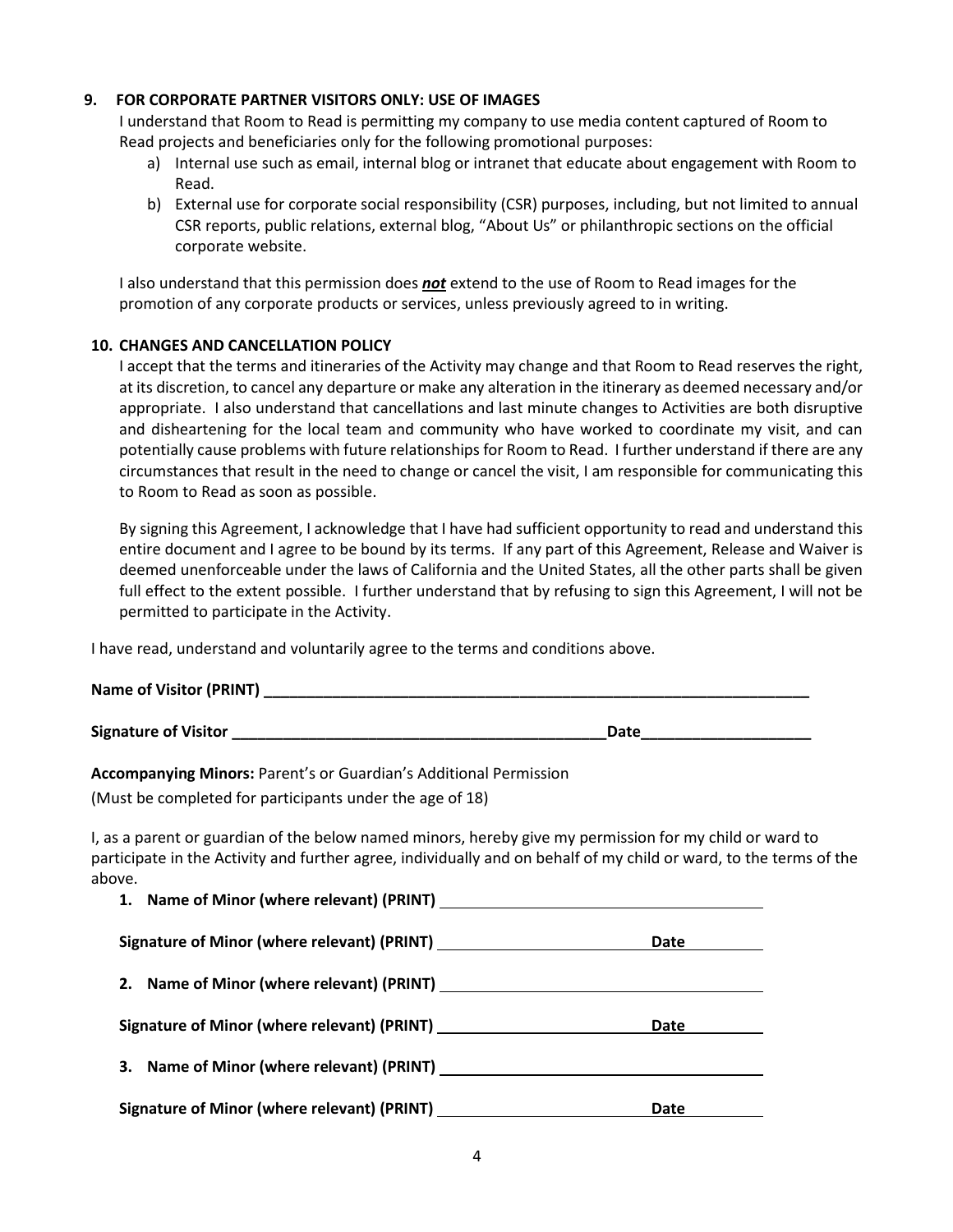#### **9. FOR CORPORATE PARTNER VISITORS ONLY: USE OF IMAGES**

I understand that Room to Read is permitting my company to use media content captured of Room to Read projects and beneficiaries only for the following promotional purposes:

- a) Internal use such as email, internal blog or intranet that educate about engagement with Room to Read.
- b) External use for corporate social responsibility (CSR) purposes, including, but not limited to annual CSR reports, public relations, external blog, "About Us" or philanthropic sections on the official corporate website.

I also understand that this permission does *not* extend to the use of Room to Read images for the promotion of any corporate products or services, unless previously agreed to in writing.

#### **10. CHANGES AND CANCELLATION POLICY**

I accept that the terms and itineraries of the Activity may change and that Room to Read reserves the right, at its discretion, to cancel any departure or make any alteration in the itinerary as deemed necessary and/or appropriate. I also understand that cancellations and last minute changes to Activities are both disruptive and disheartening for the local team and community who have worked to coordinate my visit, and can potentially cause problems with future relationships for Room to Read. I further understand if there are any circumstances that result in the need to change or cancel the visit, I am responsible for communicating this to Room to Read as soon as possible.

By signing this Agreement, I acknowledge that I have had sufficient opportunity to read and understand this entire document and I agree to be bound by its terms. If any part of this Agreement, Release and Waiver is deemed unenforceable under the laws of California and the United States, all the other parts shall be given full effect to the extent possible. I further understand that by refusing to sign this Agreement, I will not be permitted to participate in the Activity.

I have read, understand and voluntarily agree to the terms and conditions above.

| <b>Name of Visitor (PRINT)</b> |  |
|--------------------------------|--|
|                                |  |

**Signature of Visitor \_\_\_\_\_\_\_\_\_\_\_\_\_\_\_\_\_\_\_\_\_\_\_\_\_\_\_\_\_\_\_\_\_\_\_\_\_\_\_\_\_\_\_\_Date\_\_\_\_\_\_\_\_\_\_\_\_\_\_\_\_\_\_\_\_**

**Accompanying Minors:** Parent's or Guardian's Additional Permission

(Must be completed for participants under the age of 18)

I, as a parent or guardian of the below named minors, hereby give my permission for my child or ward to participate in the Activity and further agree, individually and on behalf of my child or ward, to the terms of the above.

|                                                                                                                                                                                                                                | Date |
|--------------------------------------------------------------------------------------------------------------------------------------------------------------------------------------------------------------------------------|------|
|                                                                                                                                                                                                                                |      |
| Signature of Minor (where relevant) (PRINT) [1982] [1982] [1983] [1983] [1983] [1983] [1983] [1983] [1983] [1983] [1983] [1983] [1983] [1983] [1983] [1983] [1983] [1983] [1983] [1983] [1983] [1983] [1983] [1983] [1983] [19 | Date |
|                                                                                                                                                                                                                                |      |
| Signature of Minor (where relevant) (PRINT) [198] [198] [198] [198] [198] [198] [198] [198] [198] [198] [198] [198] [198] [198] [198] [198] [198] [198] [198] [198] [198] [198] [198] [198] [198] [198] [198] [198] [198] [198 | Date |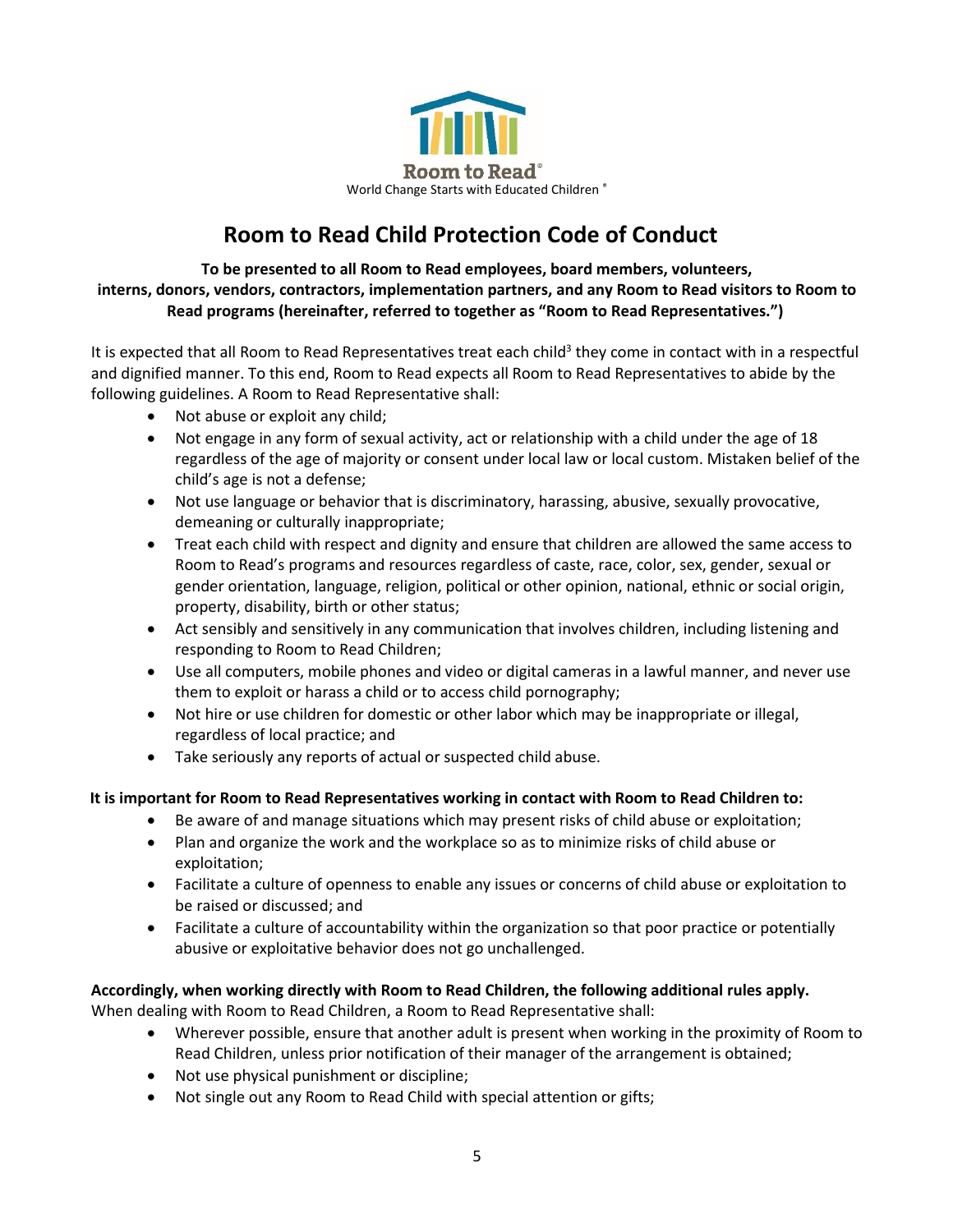

# **Room to Read Child Protection Code of Conduct**

**To be presented to all Room to Read employees, board members, volunteers, interns, donors, vendors, contractors, implementation partners, and any Room to Read visitors to Room to Read programs (hereinafter, referred to together as "Room to Read Representatives.")**

It is expected that all Room to Read Representatives treat each child<sup>3</sup> they come in contact with in a respectful and dignified manner. To this end, Room to Read expects all Room to Read Representatives to abide by the following guidelines. A Room to Read Representative shall:

- Not abuse or exploit any child;
- Not engage in any form of sexual activity, act or relationship with a child under the age of 18 regardless of the age of majority or consent under local law or local custom. Mistaken belief of the child's age is not a defense;
- Not use language or behavior that is discriminatory, harassing, abusive, sexually provocative, demeaning or culturally inappropriate;
- Treat each child with respect and dignity and ensure that children are allowed the same access to Room to Read's programs and resources regardless of caste, race, color, sex, gender, sexual or gender orientation, language, religion, political or other opinion, national, ethnic or social origin, property, disability, birth or other status;
- Act sensibly and sensitively in any communication that involves children, including listening and responding to Room to Read Children;
- Use all computers, mobile phones and video or digital cameras in a lawful manner, and never use them to exploit or harass a child or to access child pornography;
- Not hire or use children for domestic or other labor which may be inappropriate or illegal, regardless of local practice; and
- Take seriously any reports of actual or suspected child abuse.

# **It is important for Room to Read Representatives working in contact with Room to Read Children to:**

- Be aware of and manage situations which may present risks of child abuse or exploitation;
- Plan and organize the work and the workplace so as to minimize risks of child abuse or exploitation;
- Facilitate a culture of openness to enable any issues or concerns of child abuse or exploitation to be raised or discussed; and
- Facilitate a culture of accountability within the organization so that poor practice or potentially abusive or exploitative behavior does not go unchallenged.

# **Accordingly, when working directly with Room to Read Children, the following additional rules apply.**

When dealing with Room to Read Children, a Room to Read Representative shall:

- Wherever possible, ensure that another adult is present when working in the proximity of Room to Read Children, unless prior notification of their manager of the arrangement is obtained;
- Not use physical punishment or discipline;
- Not single out any Room to Read Child with special attention or gifts;